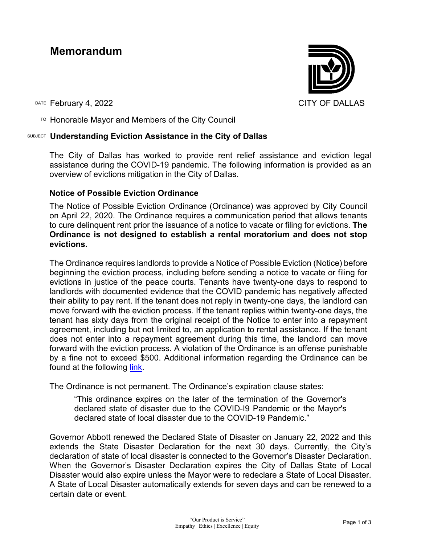# **Memorandum**

DATE February 4, 2022 **CITY OF DALLAS** 

 $T$ <sup>O</sup> Honorable Mayor and Members of the City Council

### SUBJECT **Understanding Eviction Assistance in the City of Dallas**

The City of Dallas has worked to provide rent relief assistance and eviction legal assistance during the COVID-19 pandemic. The following information is provided as an overview of evictions mitigation in the City of Dallas.

### **Notice of Possible Eviction Ordinance**

The Notice of Possible Eviction Ordinance (Ordinance) was approved by City Council on April 22, 2020. The Ordinance requires a communication period that allows tenants to cure delinquent rent prior the issuance of a notice to vacate or filing for evictions. **The Ordinance is not designed to establish a rental moratorium and does not stop evictions.**

The Ordinance requires landlords to provide a Notice of Possible Eviction (Notice) before beginning the eviction process, including before sending a notice to vacate or filing for evictions in justice of the peace courts. Tenants have twenty-one days to respond to landlords with documented evidence that the COVID pandemic has negatively affected their ability to pay rent. If the tenant does not reply in twenty-one days, the landlord can move forward with the eviction process. If the tenant replies within twenty-one days, the tenant has sixty days from the original receipt of the Notice to enter into a repayment agreement, including but not limited to, an application to rental assistance. If the tenant does not enter into a repayment agreement during this time, the landlord can move forward with the eviction process. A violation of the Ordinance is an offense punishable by a fine not to exceed \$500. Additional information regarding the Ordinance can be found at the following [link.](https://dallascityhall.com/departments/office-of-equity-and-inclusion/Fair-Housing/Pages/COVID-19-EVICTION-FACTS.aspx)

The Ordinance is not permanent. The Ordinance's expiration clause states:

"This ordinance expires on the later of the termination of the Governor's declared state of disaster due to the COVID-I9 Pandemic or the Mayor's declared state of local disaster due to the COVID-19 Pandemic."

Governor Abbott renewed the Declared State of Disaster on January 22, 2022 and this extends the State Disaster Declaration for the next 30 days. Currently, the City's declaration of state of local disaster is connected to the Governor's Disaster Declaration. When the Governor's Disaster Declaration expires the City of Dallas State of Local Disaster would also expire unless the Mayor were to redeclare a State of Local Disaster. A State of Local Disaster automatically extends for seven days and can be renewed to a certain date or event.

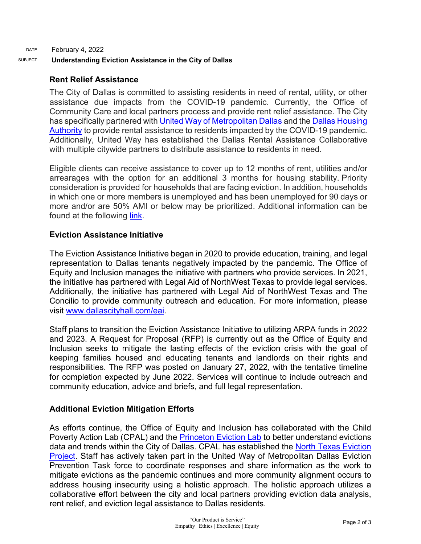## DATE February 4, 2022 SUBJECT **Understanding Eviction Assistance in the City of Dallas**

## **Rent Relief Assistance**

The City of Dallas is committed to assisting residents in need of rental, utility, or other assistance due impacts from the COVID-19 pandemic. Currently, the Office of Community Care and local partners process and provide rent relief assistance. The City has specifically partnered with [United Way of Metropolitan Dallas](https://unitedwaydallas.org/rental-assistance/) and the Dallas Housing [Authority](https://dallasrentrelief.com/) to provide rental assistance to residents impacted by the COVID-19 pandemic. Additionally, United Way has established the Dallas Rental Assistance Collaborative with multiple citywide partners to distribute assistance to residents in need.

Eligible clients can receive assistance to cover up to 12 months of rent, utilities and/or arrearages with the option for an additional 3 months for housing stability. Priority consideration is provided for households that are facing eviction. In addition, households in which one or more members is unemployed and has been unemployed for 90 days or more and/or are 50% AMI or below may be prioritized. Additional information can be found at the following [link.](https://dallascityhall.com/departments/community-care/Pages/Short-Term-Rental-Assistance.aspx)

## **Eviction Assistance Initiative**

The Eviction Assistance Initiative began in 2020 to provide education, training, and legal representation to Dallas tenants negatively impacted by the pandemic. The Office of Equity and Inclusion manages the initiative with partners who provide services. In 2021, the initiative has partnered with Legal Aid of NorthWest Texas to provide legal services. Additionally, the initiative has partnered with Legal Aid of NorthWest Texas and The Concilio to provide community outreach and education. For more information, please visit [www.dallascityhall.com/eai.](http://www.dallascityhall.com/eai)

Staff plans to transition the Eviction Assistance Initiative to utilizing ARPA funds in 2022 and 2023. A Request for Proposal (RFP) is currently out as the Office of Equity and Inclusion seeks to mitigate the lasting effects of the eviction crisis with the goal of keeping families housed and educating tenants and landlords on their rights and responsibilities. The RFP was posted on January 27, 2022, with the tentative timeline for completion expected by June 2022. Services will continue to include outreach and community education, advice and briefs, and full legal representation.

## **Additional Eviction Mitigation Efforts**

As efforts continue, the Office of Equity and Inclusion has collaborated with the Child Poverty Action Lab (CPAL) and the [Princeton Eviction Lab](https://evictionlab.org/) to better understand evictions data and trends within the City of Dallas. CPAL has established the [North Texas Eviction](https://www.northtexasevictions.org/)  [Project.](https://www.northtexasevictions.org/) Staff has actively taken part in the United Way of Metropolitan Dallas Eviction Prevention Task force to coordinate responses and share information as the work to mitigate evictions as the pandemic continues and more community alignment occurs to address housing insecurity using a holistic approach. The holistic approach utilizes a collaborative effort between the city and local partners providing eviction data analysis, rent relief, and eviction legal assistance to Dallas residents.